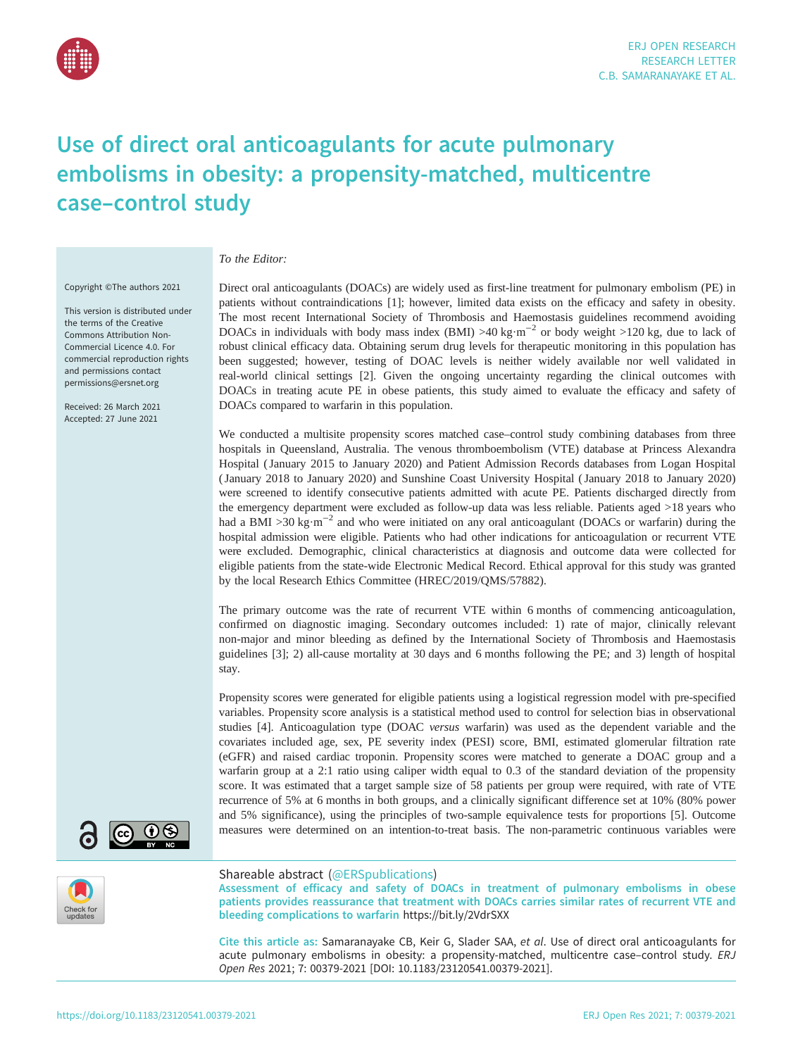

# Use of direct oral anticoagulants for acute pulmonary embolisms in obesity: a propensity-matched, multicentre case–control study

### To the Editor:

Copyright ©The authors 2021

This version is distributed under the terms of the Creative Commons Attribution Non-Commercial Licence 4.0. For commercial reproduction rights and permissions contact [permissions@ersnet.org](mailto:permissions@ersnet.org)

Received: 26 March 2021 Accepted: 27 June 2021



We conducted a multisite propensity scores matched case–control study combining databases from three hospitals in Queensland, Australia. The venous thromboembolism (VTE) database at Princess Alexandra Hospital ( January 2015 to January 2020) and Patient Admission Records databases from Logan Hospital ( January 2018 to January 2020) and Sunshine Coast University Hospital ( January 2018 to January 2020) were screened to identify consecutive patients admitted with acute PE. Patients discharged directly from the emergency department were excluded as follow-up data was less reliable. Patients aged >18 years who had a BMI >30 kg·m<sup>-2</sup> and who were initiated on any oral anticoagulant (DOACs or warfarin) during the hospital admission were eligible. Patients who had other indications for anticoagulation or recurrent VTE were excluded. Demographic, clinical characteristics at diagnosis and outcome data were collected for eligible patients from the state-wide Electronic Medical Record. Ethical approval for this study was granted by the local Research Ethics Committee (HREC/2019/QMS/57882).

The primary outcome was the rate of recurrent VTE within 6 months of commencing anticoagulation, confirmed on diagnostic imaging. Secondary outcomes included: 1) rate of major, clinically relevant non-major and minor bleeding as defined by the International Society of Thrombosis and Haemostasis guidelines [\[3\]](#page-3-0); 2) all-cause mortality at 30 days and 6 months following the PE; and 3) length of hospital stay.

Propensity scores were generated for eligible patients using a logistical regression model with pre-specified variables. Propensity score analysis is a statistical method used to control for selection bias in observational studies [\[4\]](#page-3-0). Anticoagulation type (DOAC versus warfarin) was used as the dependent variable and the covariates included age, sex, PE severity index (PESI) score, BMI, estimated glomerular filtration rate (eGFR) and raised cardiac troponin. Propensity scores were matched to generate a DOAC group and a warfarin group at a 2:1 ratio using caliper width equal to 0.3 of the standard deviation of the propensity score. It was estimated that a target sample size of 58 patients per group were required, with rate of VTE recurrence of 5% at 6 months in both groups, and a clinically significant difference set at 10% (80% power and 5% significance), using the principles of two-sample equivalence tests for proportions [[5](#page-4-0)]. Outcome measures were determined on an intention-to-treat basis. The non-parametric continuous variables were





#### Shareable abstract (@ERSpublications)

Assessment of efficacy and safety of DOACs in treatment of pulmonary embolisms in obese patients provides reassurance that treatment with DOACs carries similar rates of recurrent VTE and bleeding complications to warfarin <https://bit.ly/2VdrSXX>

Cite this article as: Samaranayake CB, Keir G, Slader SAA, et al. Use of direct oral anticoagulants for acute pulmonary embolisms in obesity: a propensity-matched, multicentre case-control study. ERJ Open Res 2021; 7: 00379-2021 [\[DOI: 10.1183/23120541.00379-2021\].](https://doi.org/10.1183/23120541.00379-2021)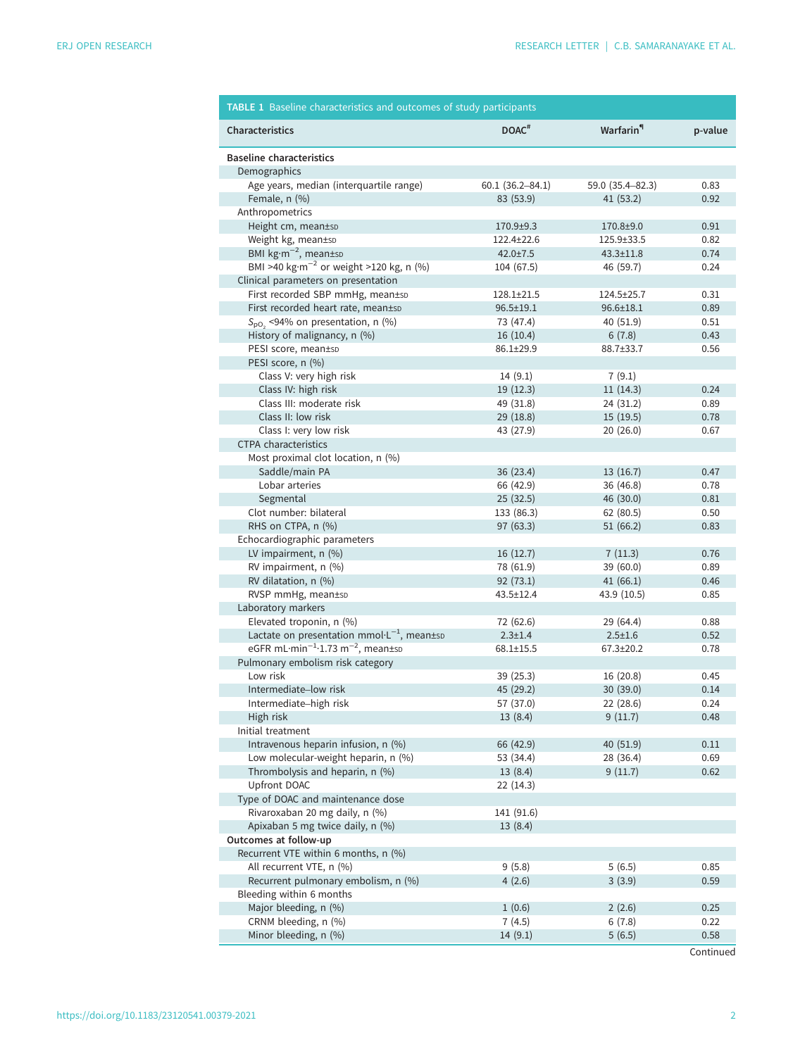<span id="page-1-0"></span>

| <b>TABLE 1</b> Baseline characteristics and outcomes of study participants |                     |                       |         |  |
|----------------------------------------------------------------------------|---------------------|-----------------------|---------|--|
| Characteristics                                                            | DOAC <sup>#</sup>   | Warfarin <sup>"</sup> | p-value |  |
| <b>Baseline characteristics</b><br>Demographics                            |                     |                       |         |  |
| Age years, median (interquartile range)                                    | $60.1(36.2 - 84.1)$ | 59.0 (35.4-82.3)      | 0.83    |  |
| Female, $n$ $(\%)$                                                         | 83 (53.9)           | 41(53.2)              | 0.92    |  |
| Anthropometrics                                                            |                     |                       |         |  |
| Height cm, mean±sD                                                         | 170.9±9.3           | 170.8±9.0             | 0.91    |  |
| Weight kg, mean±sD                                                         | 122.4±22.6          | 125.9±33.5            | 0.82    |  |
| BMI $kg·m-2$ , mean±sp                                                     | $42.0 \pm 7.5$      | $43.3 \pm 11.8$       | 0.74    |  |
| BMI >40 kg·m <sup>-2</sup> or weight >120 kg, n (%)                        | 104 (67.5)          | 46 (59.7)             | 0.24    |  |
| Clinical parameters on presentation                                        |                     |                       |         |  |
| First recorded SBP mmHg, mean±sp                                           | 128.1±21.5          | 124.5±25.7            | 0.31    |  |
| First recorded heart rate, mean±sD                                         | $96.5 \pm 19.1$     | $96.6 \pm 18.1$       | 0.89    |  |
| $S_{\text{pO}_2}$ <94% on presentation, n (%)                              | 73 (47.4)           | 40 (51.9)             | 0.51    |  |
| History of malignancy, n (%)                                               | 16(10.4)            | 6(7.8)                | 0.43    |  |
| PESI score, mean±sp                                                        | 86.1±29.9           | 88.7±33.7             | 0.56    |  |
| PESI score, n (%)                                                          |                     |                       |         |  |
| Class V: very high risk                                                    | 14(9.1)             | 7(9.1)                |         |  |
| Class IV: high risk                                                        | 19 (12.3)           | 11(14.3)              | 0.24    |  |
| Class III: moderate risk                                                   | 49 (31.8)           | 24 (31.2)             | 0.89    |  |
| Class II: low risk                                                         | 29 (18.8)           | 15 (19.5)             | 0.78    |  |
| Class I: very low risk                                                     | 43 (27.9)           | 20 (26.0)             | 0.67    |  |
| <b>CTPA</b> characteristics                                                |                     |                       |         |  |
| Most proximal clot location, n (%)                                         |                     |                       |         |  |
| Saddle/main PA                                                             | 36 (23.4)           | 13 (16.7)             | 0.47    |  |
| Lobar arteries                                                             | 66 (42.9)           | 36 (46.8)             | 0.78    |  |
| Segmental                                                                  | 25(32.5)            | 46 (30.0)             | 0.81    |  |
| Clot number: bilateral                                                     | 133 (86.3)          | 62 (80.5)             | 0.50    |  |
| RHS on CTPA, n (%)                                                         | 97 (63.3)           | 51(66.2)              | 0.83    |  |
| Echocardiographic parameters                                               |                     |                       |         |  |
| LV impairment, n (%)                                                       | 16(12.7)            | 7(11.3)               | 0.76    |  |
| RV impairment, n (%)                                                       | 78 (61.9)           | 39 (60.0)             | 0.89    |  |
| RV dilatation, n (%)                                                       | 92(73.1)            | 41(66.1)              | 0.46    |  |
| RVSP mmHg, mean±sp                                                         | 43.5±12.4           | 43.9 (10.5)           | 0.85    |  |
| Laboratory markers                                                         |                     |                       |         |  |
| Elevated troponin, n (%)                                                   | 72 (62.6)           | 29 (64.4)             | 0.88    |  |
| Lactate on presentation $mmol·L^{-1}$ , mean±sp                            | $2.3 \pm 1.4$       | $2.5 \pm 1.6$         | 0.52    |  |
| eGFR mL $\cdot$ min <sup>-1</sup> $\cdot$ 1.73 m <sup>-2</sup> , mean±sp   | $68.1 \pm 15.5$     | 67.3±20.2             | 0.78    |  |
| Pulmonary embolism risk category                                           |                     |                       |         |  |
| Low risk                                                                   | 39 (25.3)           | 16 (20.8)             | 0.45    |  |
| Intermediate-low risk                                                      | 45 (29.2)           | 30 (39.0)             | 0.14    |  |
| Intermediate-high risk                                                     | 57 (37.0)           | 22 (28.6)             | 0.24    |  |
| High risk                                                                  | 13(8.4)             | 9(11.7)               | 0.48    |  |
| Initial treatment                                                          |                     |                       |         |  |
| Intravenous heparin infusion, n (%)                                        | 66 (42.9)           | 40 (51.9)             | 0.11    |  |
| Low molecular-weight heparin, n (%)                                        | 53 (34.4)           | 28 (36.4)             | 0.69    |  |
| Thrombolysis and heparin, n (%)                                            | 13(8.4)             | 9(11.7)               | 0.62    |  |
| Upfront DOAC                                                               | 22(14.3)            |                       |         |  |
| Type of DOAC and maintenance dose                                          |                     |                       |         |  |
| Rivaroxaban 20 mg daily, n (%)                                             | 141 (91.6)          |                       |         |  |
| Apixaban 5 mg twice daily, n (%)                                           | 13(8.4)             |                       |         |  |
| Outcomes at follow-up                                                      |                     |                       |         |  |
| Recurrent VTE within 6 months, n (%)                                       |                     |                       |         |  |
| All recurrent VTE, n (%)                                                   | 9(5.8)              | 5(6.5)                | 0.85    |  |
| Recurrent pulmonary embolism, n (%)                                        | 4(2.6)              | 3(3.9)                | 0.59    |  |
| Bleeding within 6 months                                                   |                     |                       |         |  |
| Major bleeding, n (%)                                                      | 1(0.6)              | 2(2.6)                | 0.25    |  |
| CRNM bleeding, n (%)                                                       | 7(4.5)              | 6(7.8)                | 0.22    |  |
| Minor bleeding, n (%)                                                      | 14(9.1)             | 5(6.5)                | 0.58    |  |

**Continued**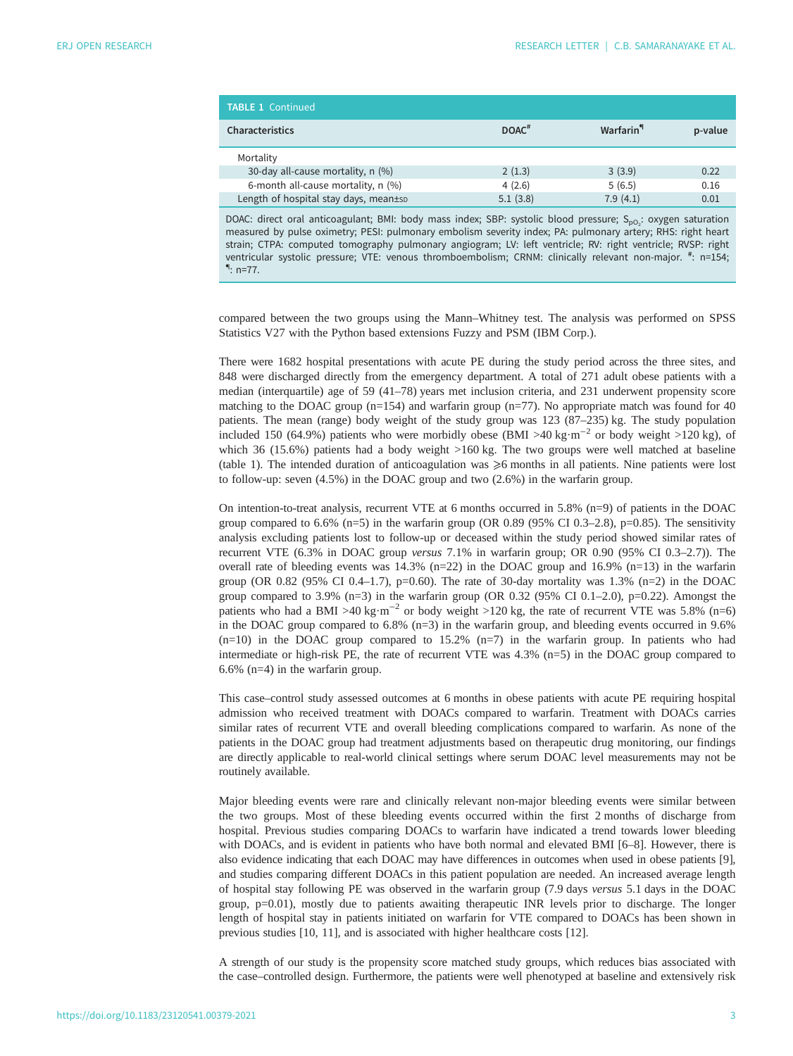| <b>TABLE 1 Continued</b>              |                     |                        |         |
|---------------------------------------|---------------------|------------------------|---------|
| Characteristics                       | $DOAC$ <sup>#</sup> | Warfarin <sup>''</sup> | p-value |
| Mortality                             |                     |                        |         |
| 30-day all-cause mortality, n (%)     | 2(1.3)              | 3(3.9)                 | 0.22    |
| 6-month all-cause mortality, n (%)    | 4(2.6)              | 5(6.5)                 | 0.16    |
| Length of hospital stay days, mean±sp | 5.1(3.8)            | 7.9(4.1)               | 0.01    |

DOAC: direct oral anticoagulant; BMI: body mass index; SBP: systolic blood pressure; S<sub>pO2</sub>: oxygen saturation measured by pulse oximetry; PESI: pulmonary embolism severity index; PA: pulmonary artery; RHS: right heart strain; CTPA: computed tomography pulmonary angiogram; LV: left ventricle; RV: right ventricle; RVSP: right ventricular systolic pressure; VTE: venous thromboembolism; CRNM: clinically relevant non-major. #: n=154;<br>¶. n=77  $\P: n=77$ .

compared between the two groups using the Mann–Whitney test. The analysis was performed on SPSS Statistics V27 with the Python based extensions Fuzzy and PSM (IBM Corp.).

There were 1682 hospital presentations with acute PE during the study period across the three sites, and 848 were discharged directly from the emergency department. A total of 271 adult obese patients with a median (interquartile) age of 59 (41–78) years met inclusion criteria, and 231 underwent propensity score matching to the DOAC group (n=154) and warfarin group (n=77). No appropriate match was found for 40 patients. The mean (range) body weight of the study group was 123 (87–235) kg. The study population included 150 (64.9%) patients who were morbidly obese (BMI >40 kg·m<sup>-2</sup> or body weight >120 kg), of which 36 (15.6%) patients had a body weight >160 kg. The two groups were well matched at baseline [\(table 1](#page-1-0)). The intended duration of anticoagulation was  $\geq 6$  months in all patients. Nine patients were lost to follow-up: seven (4.5%) in the DOAC group and two (2.6%) in the warfarin group.

On intention-to-treat analysis, recurrent VTE at 6 months occurred in 5.8% (n=9) of patients in the DOAC group compared to  $6.6\%$  (n=5) in the warfarin group (OR 0.89 (95% CI 0.3–2.8), p=0.85). The sensitivity analysis excluding patients lost to follow-up or deceased within the study period showed similar rates of recurrent VTE (6.3% in DOAC group versus 7.1% in warfarin group; OR 0.90 (95% CI 0.3–2.7)). The overall rate of bleeding events was  $14.3\%$  (n=22) in the DOAC group and  $16.9\%$  (n=13) in the warfarin group (OR 0.82 (95% CI 0.4–1.7),  $p=0.60$ ). The rate of 30-day mortality was 1.3% (n=2) in the DOAC group compared to 3.9% (n=3) in the warfarin group (OR 0.32 (95% CI 0.1–2.0), p=0.22). Amongst the patients who had a BMI >40 kg·m<sup>-2</sup> or body weight >120 kg, the rate of recurrent VTE was 5.8% (n=6) in the DOAC group compared to 6.8% (n=3) in the warfarin group, and bleeding events occurred in 9.6%  $(n=10)$  in the DOAC group compared to 15.2%  $(n=7)$  in the warfarin group. In patients who had intermediate or high-risk PE, the rate of recurrent VTE was 4.3% (n=5) in the DOAC group compared to 6.6% (n=4) in the warfarin group.

This case–control study assessed outcomes at 6 months in obese patients with acute PE requiring hospital admission who received treatment with DOACs compared to warfarin. Treatment with DOACs carries similar rates of recurrent VTE and overall bleeding complications compared to warfarin. As none of the patients in the DOAC group had treatment adjustments based on therapeutic drug monitoring, our findings are directly applicable to real-world clinical settings where serum DOAC level measurements may not be routinely available.

Major bleeding events were rare and clinically relevant non-major bleeding events were similar between the two groups. Most of these bleeding events occurred within the first 2 months of discharge from hospital. Previous studies comparing DOACs to warfarin have indicated a trend towards lower bleeding with DOACs, and is evident in patients who have both normal and elevated BMI [\[6](#page-4-0)–[8\]](#page-4-0). However, there is also evidence indicating that each DOAC may have differences in outcomes when used in obese patients [\[9\]](#page-4-0), and studies comparing different DOACs in this patient population are needed. An increased average length of hospital stay following PE was observed in the warfarin group (7.9 days versus 5.1 days in the DOAC group, p=0.01), mostly due to patients awaiting therapeutic INR levels prior to discharge. The longer length of hospital stay in patients initiated on warfarin for VTE compared to DOACs has been shown in previous studies [[10, 11\]](#page-4-0), and is associated with higher healthcare costs [\[12](#page-4-0)].

A strength of our study is the propensity score matched study groups, which reduces bias associated with the case–controlled design. Furthermore, the patients were well phenotyped at baseline and extensively risk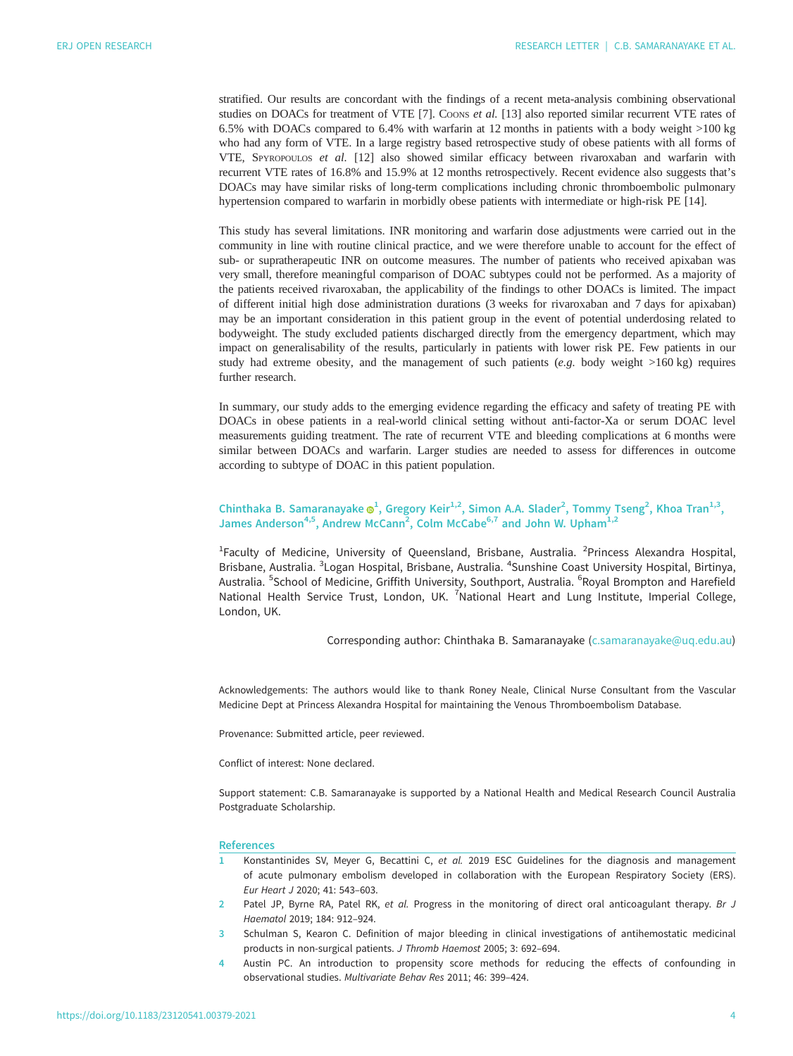<span id="page-3-0"></span>stratified. Our results are concordant with the findings of a recent meta-analysis combining observational studies on DOACs for treatment of VTE [\[7\]](#page-4-0). Coons et al. [[13\]](#page-4-0) also reported similar recurrent VTE rates of 6.5% with DOACs compared to 6.4% with warfarin at 12 months in patients with a body weight >100 kg who had any form of VTE. In a large registry based retrospective study of obese patients with all forms of VTE, SPYROPOULOS et al. [\[12](#page-4-0)] also showed similar efficacy between rivaroxaban and warfarin with recurrent VTE rates of 16.8% and 15.9% at 12 months retrospectively. Recent evidence also suggests that's DOACs may have similar risks of long-term complications including chronic thromboembolic pulmonary hypertension compared to warfarin in morbidly obese patients with intermediate or high-risk PE [\[14](#page-4-0)].

This study has several limitations. INR monitoring and warfarin dose adjustments were carried out in the community in line with routine clinical practice, and we were therefore unable to account for the effect of sub- or supratherapeutic INR on outcome measures. The number of patients who received apixaban was very small, therefore meaningful comparison of DOAC subtypes could not be performed. As a majority of the patients received rivaroxaban, the applicability of the findings to other DOACs is limited. The impact of different initial high dose administration durations (3 weeks for rivaroxaban and 7 days for apixaban) may be an important consideration in this patient group in the event of potential underdosing related to bodyweight. The study excluded patients discharged directly from the emergency department, which may impact on generalisability of the results, particularly in patients with lower risk PE. Few patients in our study had extreme obesity, and the management of such patients  $(e.q.$  body weight  $>160 kg$ ) requires further research.

In summary, our study adds to the emerging evidence regarding the efficacy and safety of treating PE with DOACs in obese patients in a real-world clinical setting without anti-factor-Xa or serum DOAC level measurements guiding treatment. The rate of recurrent VTE and bleeding complications at 6 months were similar between DOACs and warfarin. Larger studies are needed to assess for differences in outcome according to subtype of DOAC in this patient population.

## Chinthaka B. Samaranayake  $\mathbf{\Theta}^1$ , Gregory Keir<sup>1,2</sup>, Simon A.A. Slader<sup>2</sup>, Tommy Tseng<sup>2</sup>, Khoa Tran<sup>1,3</sup>, James Anderson<sup>4,5</sup>, Andrew McCann<sup>2</sup>, Colm McCabe<sup>6,7</sup> and John W. Upham<sup>1,2</sup>

<sup>1</sup>Faculty of Medicine, University of Queensland, Brisbane, Australia. <sup>2</sup>Princess Alexandra Hospital, Brisbane, Australia. <sup>3</sup>Logan Hospital, Brisbane, Australia. <sup>4</sup>Sunshine Coast University Hospital, Birtinya, Australia. <sup>5</sup>School of Medicine, Griffith University, Southport, Australia. <sup>6</sup>Royal Brompton and Harefield National Health Service Trust, London, UK. <sup>7</sup>National Heart and Lung Institute, Imperial College, London, UK.

Corresponding author: Chinthaka B. Samaranayake ([c.samaranayake@uq.edu.au](mailto:c.samaranayake@uq.edu.au))

Acknowledgements: The authors would like to thank Roney Neale, Clinical Nurse Consultant from the Vascular Medicine Dept at Princess Alexandra Hospital for maintaining the Venous Thromboembolism Database.

Provenance: Submitted article, peer reviewed.

Conflict of interest: None declared.

Support statement: C.B. Samaranayake is supported by a National Health and Medical Research Council Australia Postgraduate Scholarship.

#### References

- 1 Konstantinides SV, Meyer G, Becattini C, et al. 2019 ESC Guidelines for the diagnosis and management of acute pulmonary embolism developed in collaboration with the European Respiratory Society (ERS). Eur Heart J 2020; 41: 543–603.
- 2 Patel JP, Byrne RA, Patel RK, et al. Progress in the monitoring of direct oral anticoagulant therapy. Br J Haematol 2019; 184: 912–924.
- 3 Schulman S, Kearon C. Definition of major bleeding in clinical investigations of antihemostatic medicinal products in non-surgical patients. J Thromb Haemost 2005; 3: 692–694.
- 4 Austin PC. An introduction to propensity score methods for reducing the effects of confounding in observational studies. Multivariate Behav Res 2011; 46: 399–424.